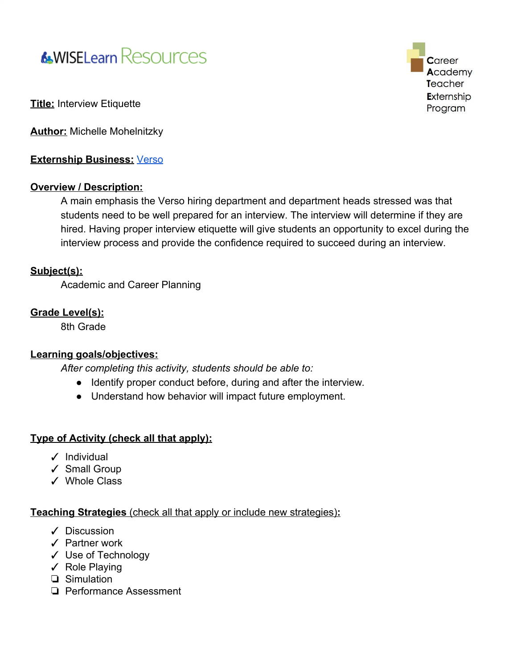# **&WISELearn Resources**

**Title:** Interview Etiquette

**Author:** Michelle Mohelnitzky

#### **Externship Business:** [Verso](https://www.versoco.com/wps/portal/corporate/home/!ut/p/z1/hY7LDoIwEEW_hQVbOlAgxF0XpiIFNYpiNwYMFgxQAhV-X6JuTHzM7s49ZzKIowTxJh1KkapSNmk15SN3T2wdWIvAtqiHCQbfjZi92sUYqIkO_wA-1fBlCEw-fyBz6kYhc0ygMXPB30LsbMK96WH7Bfy4sURcVDJ7vkuaDHsC8S6_5F3eGbduWhdKtf1MBx3GcTSElKLKjbOsdfikFLJXKHknUVsncHWqgRFNuwOZfQQ6/dz/d5/L2dBISEvZ0FBIS9nQSEh/)

#### **Overview / Description:**

A main emphasis the Verso hiring department and department heads stressed was that students need to be well prepared for an interview. The interview will determine if they are hired. Having proper interview etiquette will give students an opportunity to excel during the interview process and provide the confidence required to succeed during an interview.

#### **Subject(s):**

Academic and Career Planning

#### **Grade Level(s):**

8th Grade

#### **Learning goals/objectives:**

*After completing this activity, students should be able to:*

- *●* Identify proper conduct before, during and after the interview*.*
- Understand how behavior will impact future employment.

#### **Type of Activity (check all that apply):**

- ✓ Individual
- ✓ Small Group
- ✓ Whole Class

#### **Teaching Strategies** (check all that apply or include new strategies)**:**

- ✓ Discussion
- ✓ Partner work
- ✓ Use of Technology
- ✓ Role Playing
- ❏ Simulation
- ❏ Performance Assessment

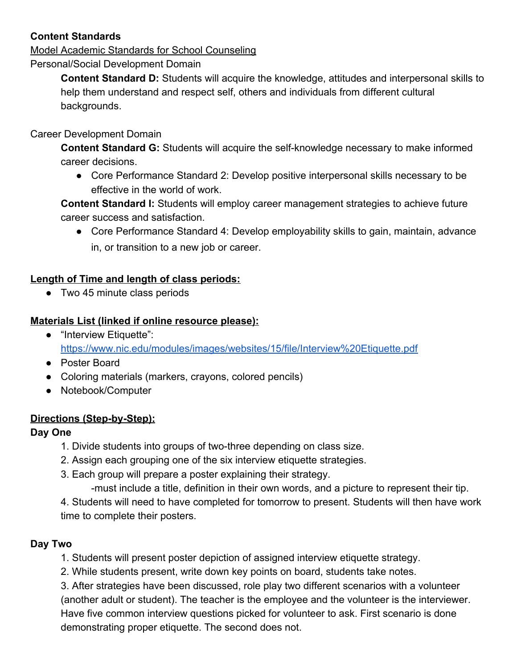## **Content Standards**

Model Academic Standards for School Counseling Personal/Social Development Domain

> **Content Standard D:** Students will acquire the knowledge, attitudes and interpersonal skills to help them understand and respect self, others and individuals from different cultural backgrounds.

## Career Development Domain

**Content Standard G:** Students will acquire the self-knowledge necessary to make informed career decisions.

● Core Performance Standard 2: Develop positive interpersonal skills necessary to be effective in the world of work.

**Content Standard I:** Students will employ career management strategies to achieve future career success and satisfaction.

● Core Performance Standard 4: Develop employability skills to gain, maintain, advance in, or transition to a new job or career.

## **Length of Time and length of class periods:**

● Two 45 minute class periods

## **Materials List (linked if online resource please):**

- "Interview Etiquette": <https://www.nic.edu/modules/images/websites/15/file/Interview%20Etiquette.pdf>
- Poster Board
- Coloring materials (markers, crayons, colored pencils)
- Notebook/Computer

## **Directions (Step-by-Step):**

#### **Day One**

- 1. Divide students into groups of two-three depending on class size.
- 2. Assign each grouping one of the six interview etiquette strategies.
- 3. Each group will prepare a poster explaining their strategy.
	- -must include a title, definition in their own words, and a picture to represent their tip.

4. Students will need to have completed for tomorrow to present. Students will then have work time to complete their posters.

#### **Day Two**

1. Students will present poster depiction of assigned interview etiquette strategy.

2. While students present, write down key points on board, students take notes.

3. After strategies have been discussed, role play two different scenarios with a volunteer (another adult or student). The teacher is the employee and the volunteer is the interviewer. Have five common interview questions picked for volunteer to ask. First scenario is done demonstrating proper etiquette. The second does not.